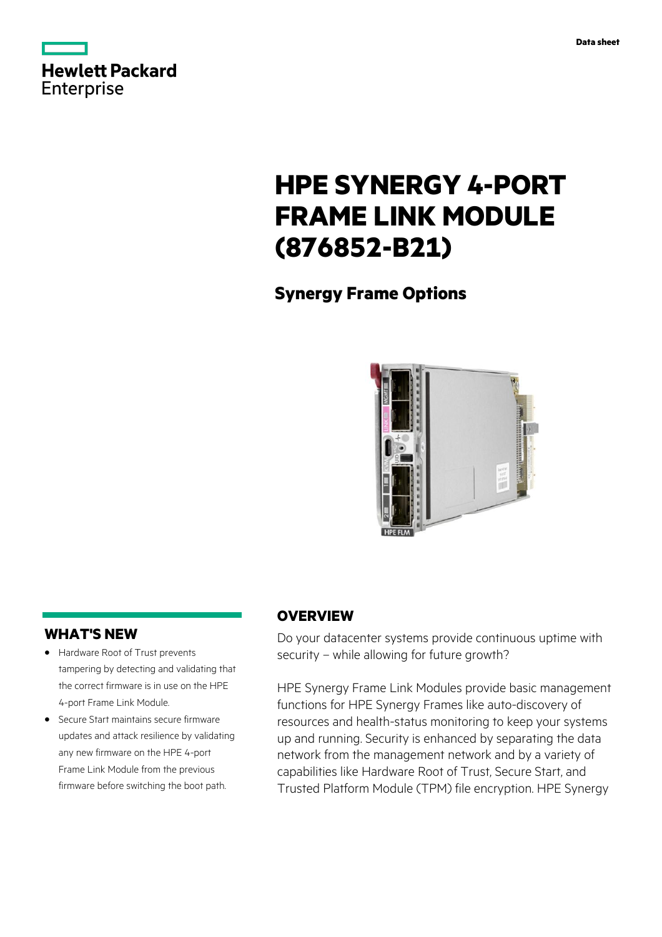

# **HPE SYNERGY 4-PORT FRAME LINK MODULE (876852-B21)**

**Synergy Frame Options**



### **WHAT'S NEW**

- **·** Hardware Root of Trust prevents tampering by detecting and validating that the correct firmware is in use on the HPE 4-port Frame Link Module.
- **·** Secure Start maintains secure firmware updates and attack resilience by validating any new firmware on the HPE 4-port Frame Link Module from the previous firmware before switching the boot path.

## **OVERVIEW**

Do your datacenter systems provide continuous uptime with security – while allowing for future growth?

HPE Synergy Frame Link Modules provide basic management functions for HPE Synergy Frames like auto-discovery of resources and health-status monitoring to keep your systems up and running. Security is enhanced by separating the data network from the management network and by a variety of capabilities like Hardware Root of Trust, Secure Start, and Trusted Platform Module (TPM) file encryption. HPE Synergy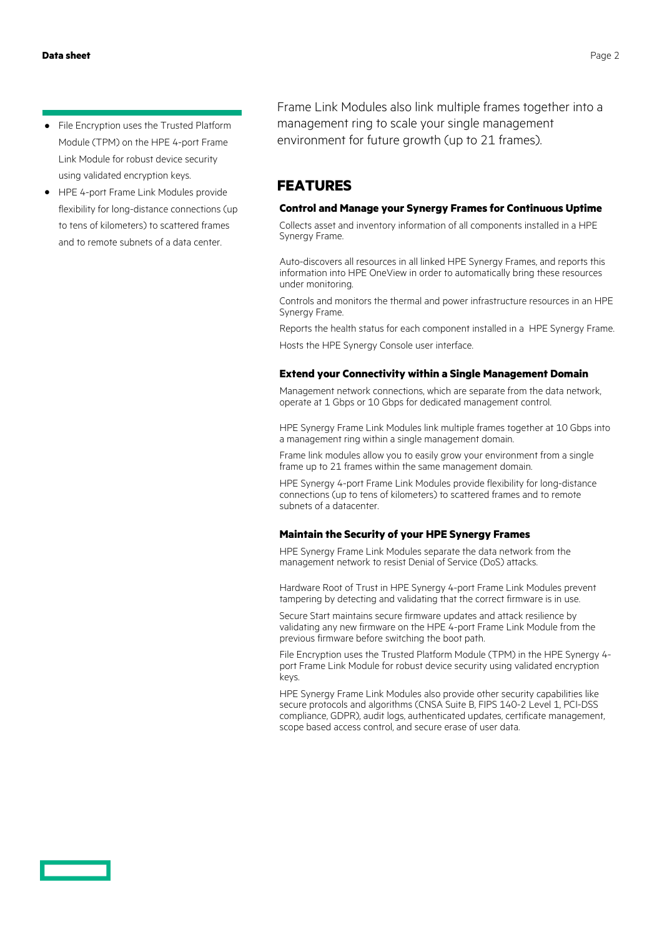- **·** File Encryption uses the Trusted Platform Module (TPM) on the HPE 4-port Frame Link Module for robust device security using validated encryption keys.
- **·** HPE 4-port Frame Link Modules provide flexibility for long-distance connections (up to tens of kilometers) to scattered frames and to remote subnets of a data center.

Frame Link Modules also link multiple frames together into a management ring to scale your single management environment for future growth (up to 21 frames).

# **FEATURES**

#### **Control and Manage your Synergy Frames for Continuous Uptime**

Collects asset and inventory information of all components installed in a HPE Synergy Frame.

Auto-discovers all resources in all linked HPE Synergy Frames, and reports this information into HPE OneView in order to automatically bring these resources under monitoring.

Controls and monitors the thermal and power infrastructure resources in an HPE Synergy Frame.

Reports the health status for each component installed in a HPE Synergy Frame.

Hosts the HPE Synergy Console user interface.

#### **Extend your Connectivity within a Single Management Domain**

Management network connections, which are separate from the data network, operate at 1 Gbps or 10 Gbps for dedicated management control.

HPE Synergy Frame Link Modules link multiple frames together at 10 Gbps into a management ring within a single management domain.

Frame link modules allow you to easily grow your environment from a single frame up to 21 frames within the same management domain.

HPE Synergy 4-port Frame Link Modules provide flexibility for long-distance connections (up to tens of kilometers) to scattered frames and to remote subnets of a datacenter.

#### **Maintain the Security of your HPE Synergy Frames**

HPE Synergy Frame Link Modules separate the data network from the management network to resist Denial of Service (DoS) attacks.

Hardware Root of Trust in HPE Synergy 4-port Frame Link Modules prevent tampering by detecting and validating that the correct firmware is in use.

Secure Start maintains secure firmware updates and attack resilience by validating any new firmware on the HPE 4-port Frame Link Module from the previous firmware before switching the boot path.

File Encryption uses the Trusted Platform Module (TPM) in the HPE Synergy 4 port Frame Link Module for robust device security using validated encryption keys.

HPE Synergy Frame Link Modules also provide other security capabilities like secure protocols and algorithms (CNSA Suite B, FIPS 140-2 Level 1, PCI-DSS compliance, GDPR), audit logs, authenticated updates, certificate management, scope based access control, and secure erase of user data.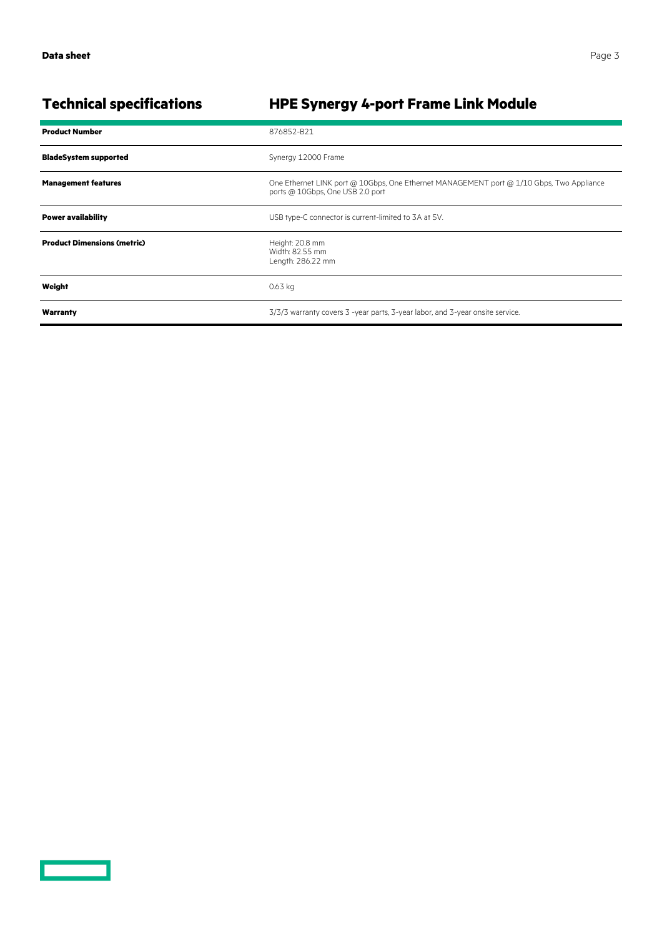| <b>Product Number</b>              | 876852-B21                                                                                                                   |
|------------------------------------|------------------------------------------------------------------------------------------------------------------------------|
| <b>BladeSystem supported</b>       | Synergy 12000 Frame                                                                                                          |
| <b>Management features</b>         | One Ethernet LINK port @ 10Gbps, One Ethernet MANAGEMENT port @ 1/10 Gbps, Two Appliance<br>ports @ 10Gbps, One USB 2.0 port |
| <b>Power availability</b>          | USB type-C connector is current-limited to 3A at 5V.                                                                         |
| <b>Product Dimensions (metric)</b> | Height: 20.8 mm<br>Width: 82.55 mm<br>Length: 286.22 mm                                                                      |
| Weight                             | 0.63 kg                                                                                                                      |
| Warranty                           | 3/3/3 warranty covers 3 -year parts, 3-year labor, and 3-year onsite service.                                                |

# **Technical specifications HPE Synergy 4-port Frame Link Module**